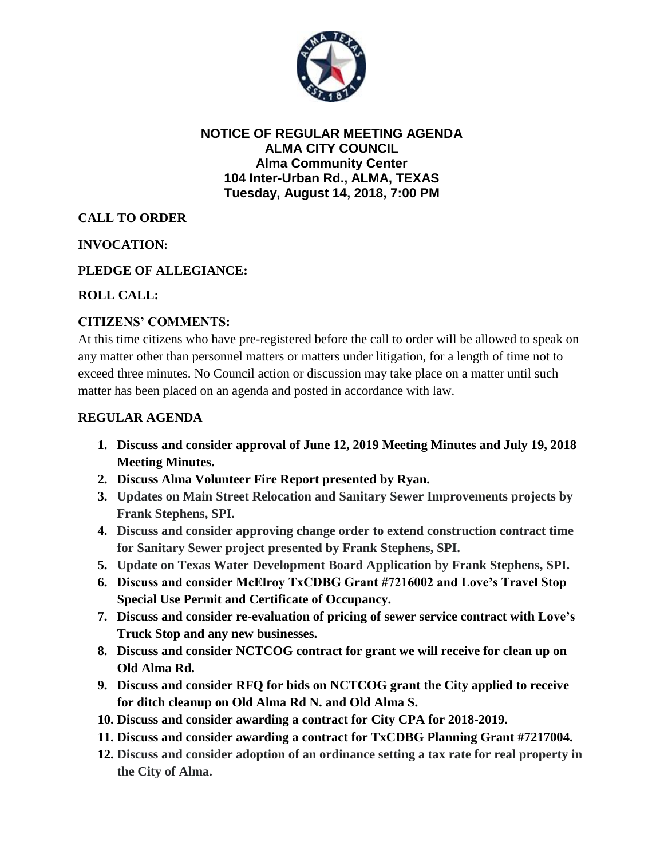

### **NOTICE OF REGULAR MEETING AGENDA ALMA CITY COUNCIL Alma Community Center 104 Inter-Urban Rd., ALMA, TEXAS Tuesday, August 14, 2018, 7:00 PM**

# **CALL TO ORDER**

# **INVOCATION:**

# **PLEDGE OF ALLEGIANCE:**

### **ROLL CALL:**

### **CITIZENS' COMMENTS:**

At this time citizens who have pre-registered before the call to order will be allowed to speak on any matter other than personnel matters or matters under litigation, for a length of time not to exceed three minutes. No Council action or discussion may take place on a matter until such matter has been placed on an agenda and posted in accordance with law.

#### **REGULAR AGENDA**

- **1. Discuss and consider approval of June 12, 2019 Meeting Minutes and July 19, 2018 Meeting Minutes.**
- **2. Discuss Alma Volunteer Fire Report presented by Ryan.**
- **3. Updates on Main Street Relocation and Sanitary Sewer Improvements projects by Frank Stephens, SPI.**
- **4. Discuss and consider approving change order to extend construction contract time for Sanitary Sewer project presented by Frank Stephens, SPI.**
- **5. Update on Texas Water Development Board Application by Frank Stephens, SPI.**
- **6. Discuss and consider McElroy TxCDBG Grant #7216002 and Love's Travel Stop Special Use Permit and Certificate of Occupancy.**
- **7. Discuss and consider re-evaluation of pricing of sewer service contract with Love's Truck Stop and any new businesses.**
- **8. Discuss and consider NCTCOG contract for grant we will receive for clean up on Old Alma Rd.**
- **9. Discuss and consider RFQ for bids on NCTCOG grant the City applied to receive for ditch cleanup on Old Alma Rd N. and Old Alma S.**
- **10. Discuss and consider awarding a contract for City CPA for 2018-2019.**
- **11. Discuss and consider awarding a contract for TxCDBG Planning Grant #7217004.**
- **12. Discuss and consider adoption of an ordinance setting a tax rate for real property in the City of Alma.**